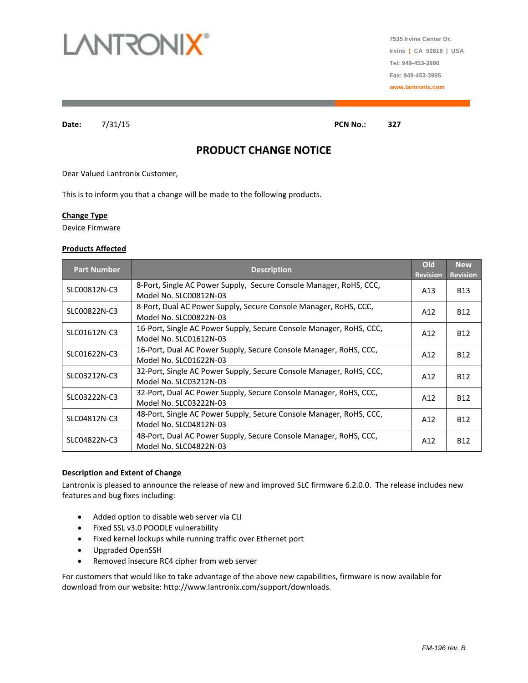

**7535 Irvine Center Dr. Irvine | CA 92618 | USA Tel: 949-453-3990 Fax: 949-453-3995 www.lantronix.com**

**Date:** 7/31/15 **PCN No.: 327**

# **PRODUCT CHANGE NOTICE**

Dear Valued Lantronix Customer,

This is to inform you that a change will be made to the following products.

#### **Change Type**

Device Firmware

## **Products Affected**

| <b>Part Number</b> | <b>Description</b>                                                                            | Old<br><b>Revision</b> | <b>New</b><br><b>Revision</b> |
|--------------------|-----------------------------------------------------------------------------------------------|------------------------|-------------------------------|
| SLC00812N-C3       | 8-Port, Single AC Power Supply, Secure Console Manager, RoHS, CCC,<br>Model No. SLC00812N-03  | A13                    | <b>B13</b>                    |
| SLC00822N-C3       | 8-Port, Dual AC Power Supply, Secure Console Manager, RoHS, CCC,<br>Model No. SLC00822N-03    | A12                    | <b>B12</b>                    |
| SLC01612N-C3       | 16-Port, Single AC Power Supply, Secure Console Manager, RoHS, CCC,<br>Model No. SLC01612N-03 | A12                    | B <sub>12</sub>               |
| SLC01622N-C3       | 16-Port, Dual AC Power Supply, Secure Console Manager, RoHS, CCC,<br>Model No. SLC01622N-03   | A12                    | <b>B12</b>                    |
| SLC03212N-C3       | 32-Port, Single AC Power Supply, Secure Console Manager, RoHS, CCC,<br>Model No. SLC03212N-03 | A12                    | B <sub>12</sub>               |
| SLC03222N-C3       | 32-Port, Dual AC Power Supply, Secure Console Manager, RoHS, CCC,<br>Model No. SLC03222N-03   | A12                    | B <sub>12</sub>               |
| SLC04812N-C3       | 48-Port, Single AC Power Supply, Secure Console Manager, RoHS, CCC,<br>Model No. SLC04812N-03 | A12                    | <b>B12</b>                    |
| SLC04822N-C3       | 48-Port, Dual AC Power Supply, Secure Console Manager, RoHS, CCC,<br>Model No. SLC04822N-03   | A12                    | <b>B12</b>                    |

#### **Description and Extent of Change**

Lantronix is pleased to announce the release of new and improved SLC firmware 6.2.0.0. The release includes new features and bug fixes including:

- Added option to disable web server via CLI
- Fixed SSL v3.0 POODLE vulnerability
- Fixed kernel lockups while running traffic over Ethernet port
- Upgraded OpenSSH
- Removed insecure RC4 cipher from web server

For customers that would like to take advantage of the above new capabilities, firmware is now available for download from our website: http://www.lantronix.com/support/downloads.